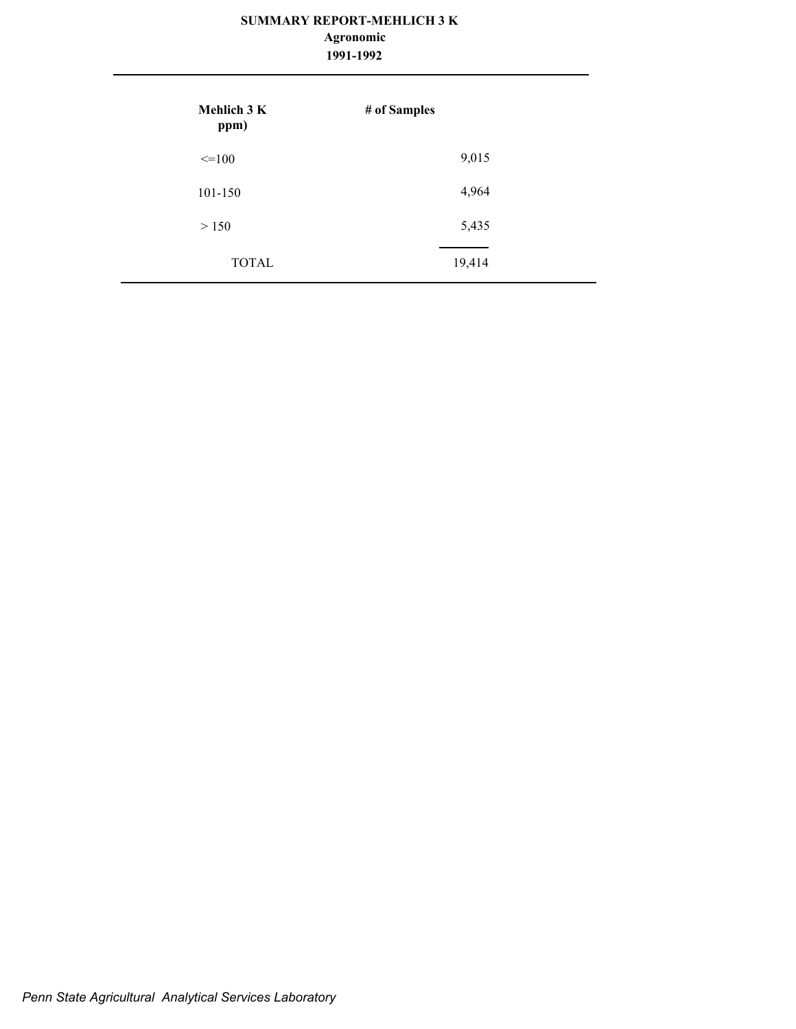## **Agronomic**

| 1991-1992 |
|-----------|
|           |

| Mehlich 3 K<br>ppm) | # of Samples |
|---------------------|--------------|
| $\leq$ =100         | 9,015        |
| 101-150             | 4,964        |
| > 150               | 5,435        |
| <b>TOTAL</b>        | 19,414       |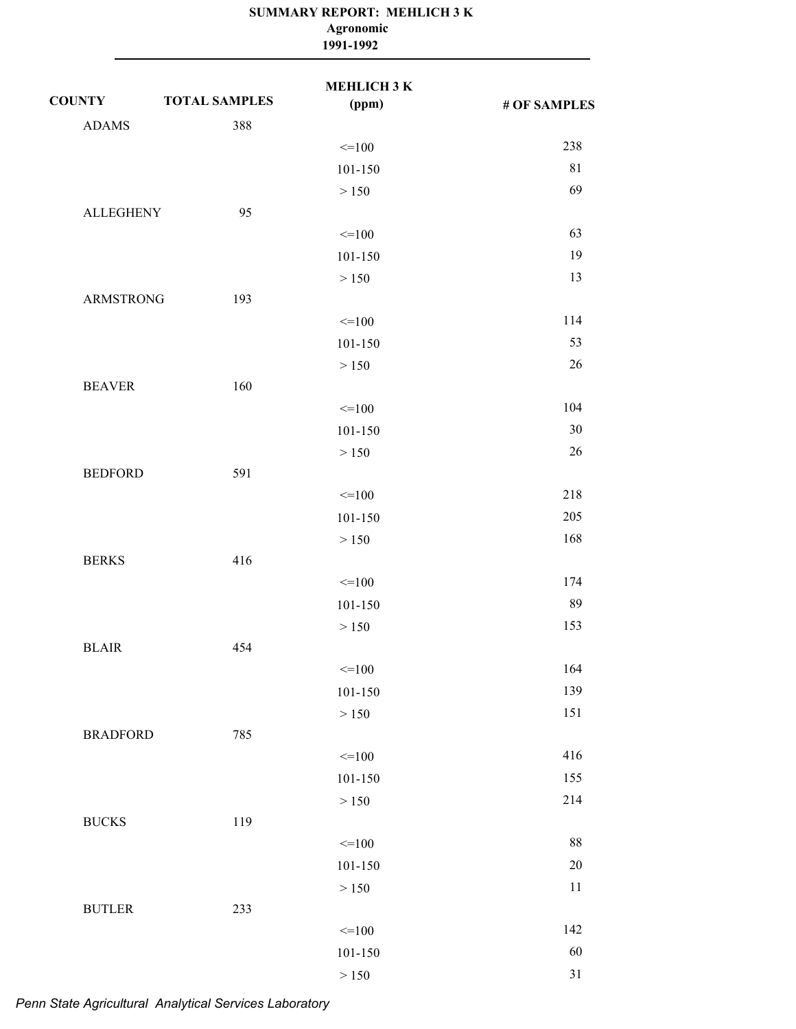|                  |                      | Agronomic<br>1991-1992 |              |
|------------------|----------------------|------------------------|--------------|
| <b>COUNTY</b>    | <b>TOTAL SAMPLES</b> | МЕНLIСНЗК<br>(ppm)     | # OF SAMPLES |
| <b>ADAMS</b>     | 388                  |                        |              |
|                  |                      | $=100$                 | 238          |
|                  |                      | 101-150                | 81           |
|                  |                      | > 150                  | 69           |
| <b>ALLEGHENY</b> | 95                   |                        |              |
|                  |                      | $=100$                 | 63           |
|                  |                      | 101-150                | 19           |
|                  |                      | > 150                  | 13           |
| <b>ARMSTRONG</b> | 193                  |                        |              |
|                  |                      | $=100$                 | 114          |
|                  |                      | 101-150                | 53           |
|                  |                      | > 150                  | 26           |
| <b>BEAVER</b>    | 160                  |                        |              |
|                  |                      | $=100$                 | 104          |
|                  |                      | 101-150                | 30           |
|                  |                      | > 150                  | 26           |
| <b>BEDFORD</b>   | 591                  |                        |              |
|                  |                      | $=100$                 | 218          |
|                  |                      | 101-150                | 205          |
|                  |                      | > 150                  | 168          |
| <b>BERKS</b>     | 416                  |                        |              |
|                  |                      | $=100$                 | 174          |
|                  |                      | $101 - 150$            | 89           |
|                  |                      | $>150$                 | 153          |
| $BLAIR$          | 454                  |                        |              |
|                  |                      | $=100$                 | 164          |
|                  |                      | $101 - 150$            | 139          |
|                  |                      | $>150$                 | 151          |
| <b>BRADFORD</b>  | 785                  |                        |              |
|                  |                      | $=100$                 | 416          |
|                  |                      | $101 - 150$            | 155          |
|                  |                      | $>150$                 | 214          |
| <b>BUCKS</b>     | 119                  |                        |              |
|                  |                      | $=100$                 | $88\,$       |
|                  |                      | $101 - 150$            | $20\,$       |
|                  |                      | $>150$                 | 11           |
| <b>BUTLER</b>    | 233                  |                        |              |
|                  |                      | $=100$                 | 142          |
|                  |                      | $101 - 150$            | 60           |
|                  |                      | $>150$                 | $31\,$       |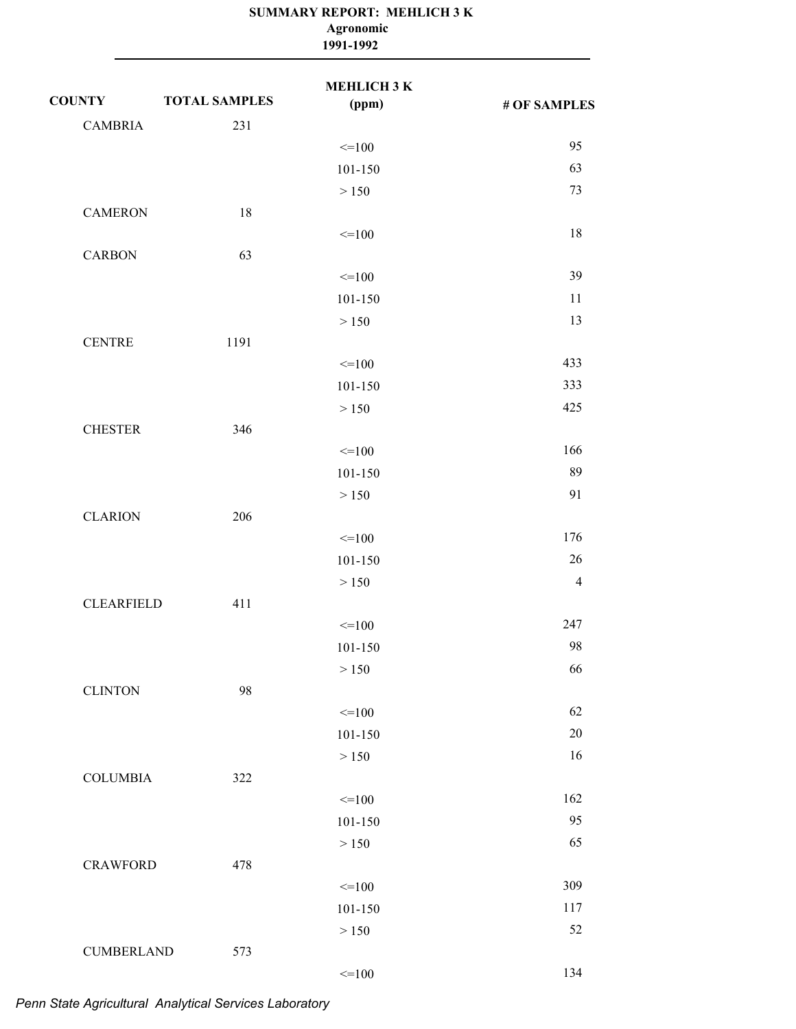|                   |                      | Agronomic<br>1991-1992 |                |  |
|-------------------|----------------------|------------------------|----------------|--|
| <b>COUNTY</b>     | <b>TOTAL SAMPLES</b> | МЕНLIСНЗК<br>(ppm)     | # OF SAMPLES   |  |
| <b>CAMBRIA</b>    | 231                  |                        |                |  |
|                   |                      | $=100$                 | 95             |  |
|                   |                      | 101-150                | 63             |  |
|                   |                      | > 150                  | 73             |  |
| <b>CAMERON</b>    | 18                   |                        |                |  |
|                   |                      | $=100$                 | 18             |  |
| <b>CARBON</b>     | 63                   |                        |                |  |
|                   |                      | $=100$                 | 39             |  |
|                   |                      | 101-150                | 11             |  |
|                   |                      | > 150                  | 13             |  |
| <b>CENTRE</b>     | 1191                 |                        |                |  |
|                   |                      | $=100$                 | 433            |  |
|                   |                      | 101-150                | 333            |  |
|                   |                      | > 150                  | 425            |  |
| <b>CHESTER</b>    | 346                  |                        |                |  |
|                   |                      | $=100$                 | 166<br>89      |  |
|                   |                      | 101-150                | 91             |  |
| <b>CLARION</b>    | 206                  | > 150                  |                |  |
|                   |                      | $=100$                 | 176            |  |
|                   |                      | 101-150                | 26             |  |
|                   |                      | > 150                  | $\overline{4}$ |  |
| <b>CLEARFIELD</b> | 411                  |                        |                |  |
|                   |                      | $=100$                 | 247            |  |
|                   |                      | $101 - 150$            | 98             |  |
|                   |                      | > 150                  | 66             |  |
| <b>CLINTON</b>    | 98                   |                        |                |  |
|                   |                      | $=100$                 | 62             |  |
|                   |                      | $101 - 150$            | $20\,$         |  |
|                   |                      | > 150                  | 16             |  |
| <b>COLUMBIA</b>   | 322                  |                        |                |  |
|                   |                      | $\leq$ = 100           | 162            |  |
|                   |                      | 101-150                | 95             |  |
|                   |                      | > 150                  | 65             |  |
| <b>CRAWFORD</b>   | 478                  |                        |                |  |
|                   |                      | $=100$                 | 309            |  |
|                   |                      | 101-150                | 117            |  |
|                   |                      | > 150                  | 52             |  |
| <b>CUMBERLAND</b> | 573                  |                        |                |  |
|                   |                      | $=100$                 | 134            |  |

#### **SUMMARY REPORT: MEHLICH 3 K Agronomic**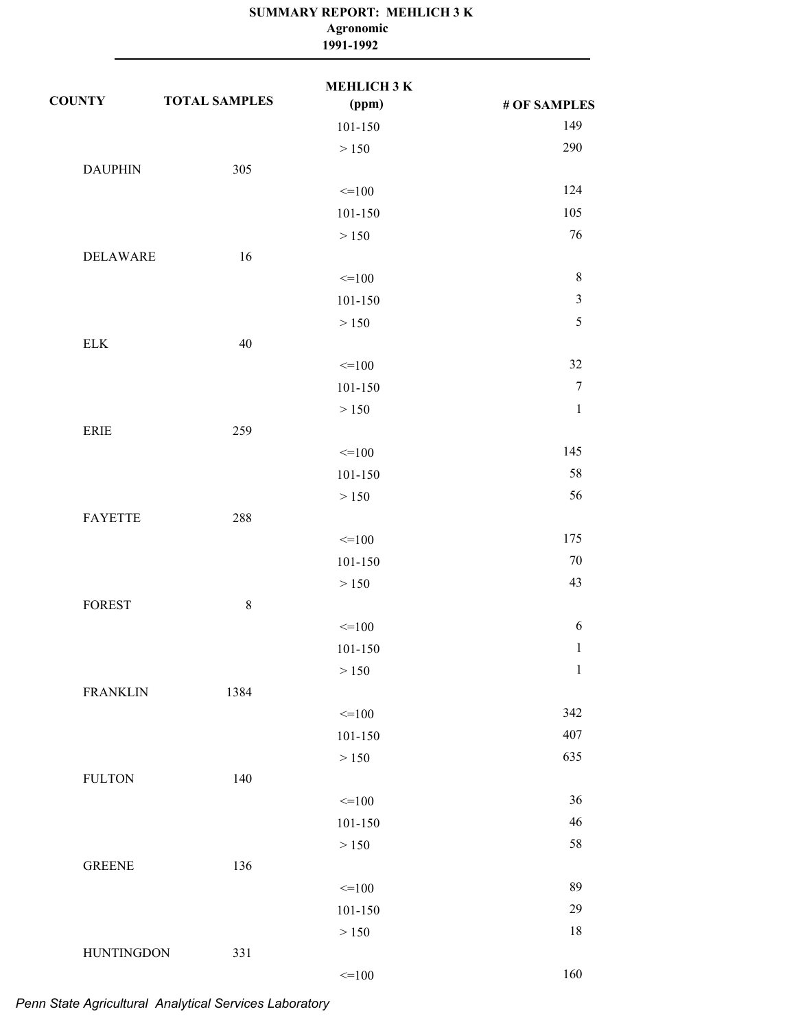|                   |                      | Agronomic<br>1991-1992      |                |
|-------------------|----------------------|-----------------------------|----------------|
| <b>COUNTY</b>     | <b>TOTAL SAMPLES</b> | <b>MEHLICH 3 K</b><br>(ppm) | # OF SAMPLES   |
|                   |                      | 101-150                     | 149            |
|                   |                      | > 150                       | 290            |
| <b>DAUPHIN</b>    | 305                  |                             |                |
|                   |                      | $=100$                      | 124            |
|                   |                      | $101 - 150$                 | 105            |
|                   |                      | > 150                       | 76             |
| <b>DELAWARE</b>   | 16                   |                             |                |
|                   |                      | $=100$                      | $8\,$          |
|                   |                      | 101-150                     | $\mathfrak{Z}$ |
|                   |                      | > 150                       | $\sqrt{5}$     |
| ${\rm ELK}$       | 40                   |                             |                |
|                   |                      | $=100$                      | 32             |
|                   |                      | $101 - 150$                 | $\overline{7}$ |
|                   |                      | > 150                       | $\mathbf{1}$   |
| <b>ERIE</b>       | 259                  |                             |                |
|                   |                      | $=100$                      | 145            |
|                   |                      | 101-150                     | 58             |
|                   |                      | > 150                       | 56             |
| <b>FAYETTE</b>    | 288                  |                             |                |
|                   |                      | $=100$                      | 175            |
|                   |                      | 101-150                     | 70             |
|                   |                      | > 150                       | 43             |
| FOREST            | $8\,$                |                             |                |
|                   |                      | $=100$                      | $\sqrt{6}$     |
|                   |                      | $101 - 150$                 | $\mathbf{1}$   |
|                   |                      | > 150                       | $\mathbf{1}$   |
| <b>FRANKLIN</b>   | 1384                 |                             |                |
|                   |                      | $=100$                      | 342            |
|                   |                      | 101-150                     | 407            |
|                   |                      | > 150                       | 635            |
| <b>FULTON</b>     | 140                  |                             |                |
|                   |                      | $=100$                      | 36             |
|                   |                      | $101 - 150$                 | 46             |
|                   |                      | > 150                       | 58             |
| <b>GREENE</b>     | 136                  |                             |                |
|                   |                      | $=100$                      | 89             |
|                   |                      | $101 - 150$                 | 29             |
|                   |                      | > 150                       | 18             |
| <b>HUNTINGDON</b> | 331                  |                             |                |
|                   |                      | $=100$                      | 160            |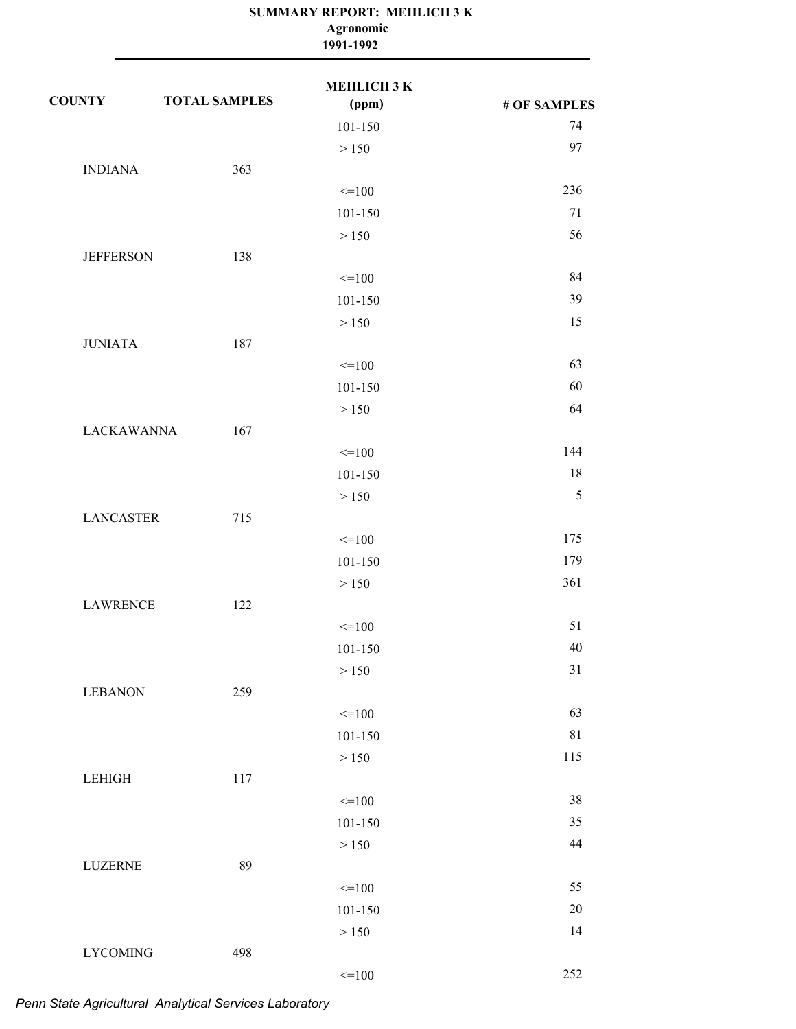|                   |                      | Agronomic<br>1991-1992 |              |
|-------------------|----------------------|------------------------|--------------|
| <b>COUNTY</b>     | <b>TOTAL SAMPLES</b> | МЕНLIСНЗК<br>(ppm)     | # OF SAMPLES |
|                   |                      | 101-150                | 74           |
|                   |                      | > 150                  | 97           |
| <b>INDIANA</b>    | 363                  |                        |              |
|                   |                      | $=100$                 | 236          |
|                   |                      | 101-150                | 71           |
|                   |                      | > 150                  | 56           |
| <b>JEFFERSON</b>  | 138                  |                        |              |
|                   |                      | $=100$                 | 84           |
|                   |                      | 101-150                | 39           |
|                   |                      | > 150                  | 15           |
| <b>JUNIATA</b>    | 187                  |                        |              |
|                   |                      | $=100$                 | 63           |
|                   |                      | 101-150                | 60           |
|                   |                      | > 150                  | 64           |
| <b>LACKAWANNA</b> | 167                  |                        |              |
|                   |                      | $=100$                 | 144          |
|                   |                      | 101-150                | 18           |
|                   |                      | > 150                  | $\sqrt{5}$   |
| <b>LANCASTER</b>  | 715                  |                        |              |
|                   |                      | $=100$                 | 175          |
|                   |                      | 101-150                | 179          |
|                   |                      | > 150                  | 361          |
| <b>LAWRENCE</b>   | 122                  |                        |              |
|                   |                      | $=100$                 | 51           |
|                   |                      | 101-150                | 40           |
|                   |                      | > 150                  | 31           |
| <b>LEBANON</b>    | 259                  |                        |              |
|                   |                      | $=100$                 | 63           |
|                   |                      | $101 - 150$            | 81           |
|                   |                      | > 150                  | 115          |
| LEHIGH            | 117                  |                        |              |
|                   |                      | $=100$                 | 38           |
|                   |                      | $101 - 150$            | 35           |
|                   |                      | > 150                  | 44           |
| <b>LUZERNE</b>    | 89                   |                        |              |
|                   |                      | $=100$                 | 55           |
|                   |                      | $101 - 150$            | $20\,$       |
|                   |                      | > 150                  | 14           |
| <b>LYCOMING</b>   | 498                  |                        |              |
|                   |                      | $=100$                 | 252          |

# *Penn State Agricultural Analytical Services Laboratory*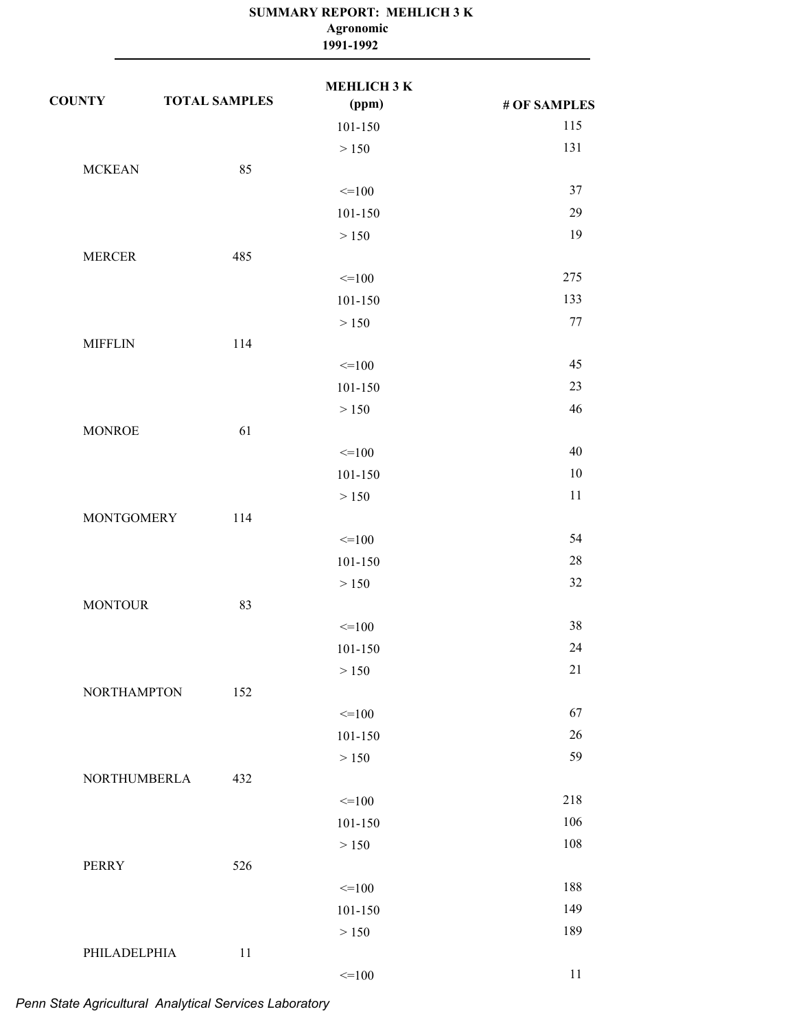|                    |                      | Agronomic<br>1991-1992 |              |
|--------------------|----------------------|------------------------|--------------|
| <b>COUNTY</b>      | <b>TOTAL SAMPLES</b> | МЕНLIСНЗК<br>(ppm)     | # OF SAMPLES |
|                    |                      | 101-150                | 115          |
|                    |                      | > 150                  | 131          |
| <b>MCKEAN</b>      | 85                   |                        |              |
|                    |                      | $=100$                 | 37           |
|                    |                      | 101-150                | 29           |
|                    |                      | > 150                  | 19           |
| <b>MERCER</b>      | 485                  |                        |              |
|                    |                      | $=100$                 | 275          |
|                    |                      | 101-150                | 133          |
|                    |                      | > 150                  | 77           |
| <b>MIFFLIN</b>     | 114                  |                        |              |
|                    |                      | $=100$                 | 45           |
|                    |                      | 101-150                | 23           |
|                    |                      | > 150                  | 46           |
| <b>MONROE</b>      | 61                   |                        |              |
|                    |                      | $=100$                 | 40           |
|                    |                      | 101-150                | 10           |
|                    |                      | > 150                  | 11           |
| <b>MONTGOMERY</b>  | 114                  |                        |              |
|                    |                      | $=100$                 | 54           |
|                    |                      | 101-150                | 28           |
|                    |                      | > 150                  | 32           |
| <b>MONTOUR</b>     | 83                   |                        |              |
|                    |                      | $=100$                 | 38           |
|                    |                      | 101-150                | 24           |
|                    |                      | > 150                  | 21           |
| <b>NORTHAMPTON</b> | 152                  |                        |              |
|                    |                      | $=100$                 | 67           |
|                    |                      | $101 - 150$            | $26\,$       |
|                    |                      | > 150                  | 59           |
| NORTHUMBERLA       | 432                  |                        |              |
|                    |                      | $=100$                 | 218          |
|                    |                      | $101 - 150$            | 106          |
|                    |                      | > 150                  | 108          |
| <b>PERRY</b>       | 526                  |                        |              |
|                    |                      | $=100$                 | 188          |
|                    |                      | $101 - 150$            | 149          |
|                    |                      | $>150$                 | 189          |
| PHILADELPHIA       | 11                   |                        |              |
|                    |                      | $=100$                 | 11           |

# *Penn State Agricultural Analytical Services Laboratory*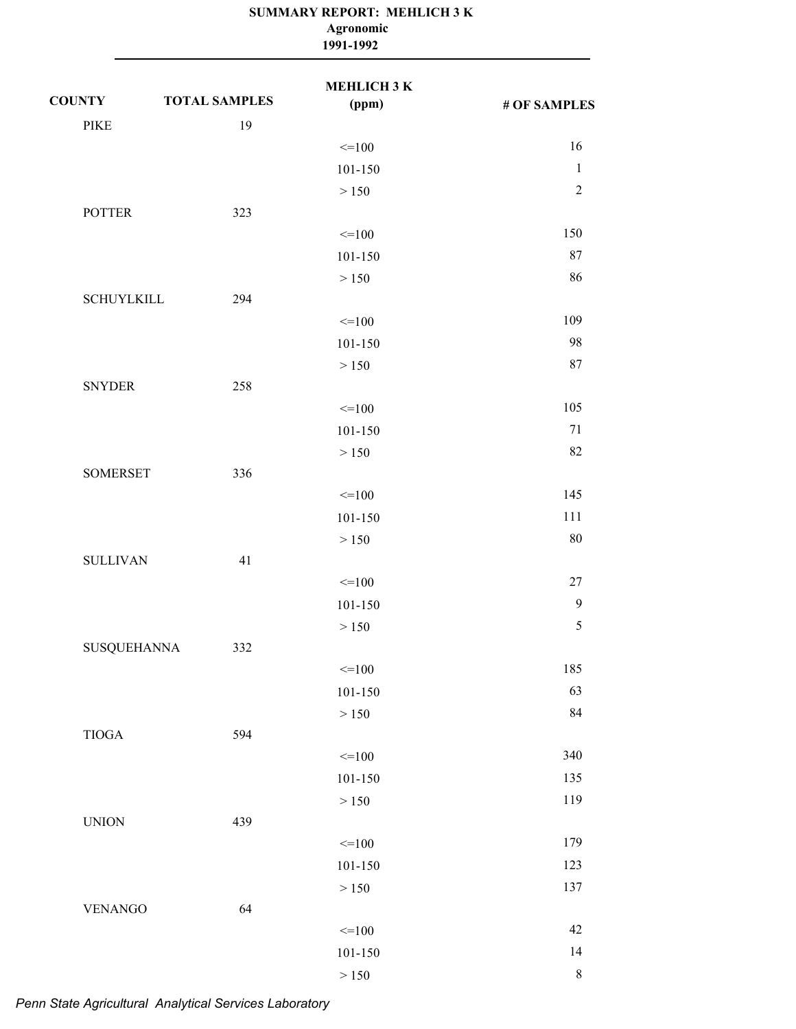|                    |                      | Agronomic<br>1991-1992      |              |
|--------------------|----------------------|-----------------------------|--------------|
| <b>COUNTY</b>      | <b>TOTAL SAMPLES</b> | <b>MEHLICH 3 K</b><br>(ppm) | # OF SAMPLES |
| <b>PIKE</b>        | 19                   |                             |              |
|                    |                      | $=100$                      | 16           |
|                    |                      | 101-150                     | $\mathbf{1}$ |
|                    |                      | > 150                       | $\sqrt{2}$   |
| <b>POTTER</b>      | 323                  |                             |              |
|                    |                      | $=100$                      | 150          |
|                    |                      | 101-150                     | 87           |
|                    |                      | > 150                       | 86           |
| <b>SCHUYLKILL</b>  | 294                  |                             |              |
|                    |                      | $=100$                      | 109          |
|                    |                      | 101-150                     | 98           |
|                    |                      | > 150                       | 87           |
| <b>SNYDER</b>      | 258                  |                             |              |
|                    |                      | $=100$                      | 105          |
|                    |                      | 101-150                     | 71           |
|                    |                      | > 150                       | 82           |
| <b>SOMERSET</b>    | 336                  |                             |              |
|                    |                      | $=100$                      | 145          |
|                    |                      | 101-150                     | 111          |
|                    |                      | > 150                       | 80           |
| <b>SULLIVAN</b>    | 41                   |                             |              |
|                    |                      | $=100$                      | $27\,$       |
|                    |                      | 101-150                     | 9            |
|                    |                      | $>150$                      | $\sqrt{5}$   |
| <b>SUSQUEHANNA</b> | 332                  |                             |              |
|                    |                      | $=100$                      | 185          |
|                    |                      | $101 - 150$                 | 63           |
|                    |                      | $>150\,$                    | 84           |
| $\tt TIOGA$        | 594                  |                             |              |
|                    |                      | $=100$                      | 340          |
|                    |                      | $101 - 150$                 | 135          |
|                    |                      | $>150\,$                    | 119          |
| <b>UNION</b>       | 439                  |                             |              |
|                    |                      | $=100$                      | 179          |
|                    |                      | $101 - 150$                 | 123          |
|                    |                      | $>150$                      | 137          |
| <b>VENANGO</b>     | 64                   |                             |              |
|                    |                      | $=100$                      | 42           |
|                    |                      | $101 - 150$                 | 14           |
|                    |                      | $>150$                      | $\,8\,$      |